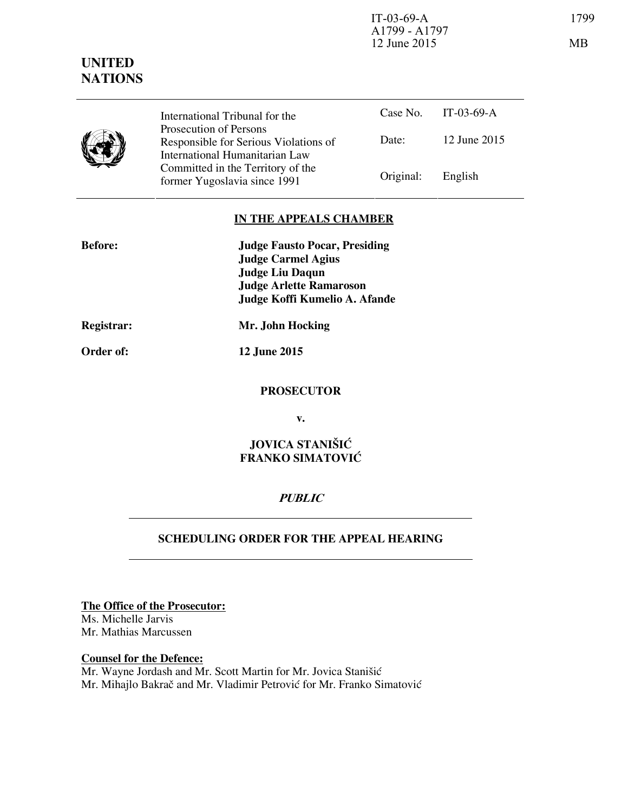IT-03-69-A 1799 A1799 - A1797 12 June 2015 MB

## **UNITED NATIONS**

|  | International Tribunal for the                                                                    |           | Case No. IT-03-69-A |  |
|--|---------------------------------------------------------------------------------------------------|-----------|---------------------|--|
|  | Prosecution of Persons<br>Responsible for Serious Violations of<br>International Humanitarian Law | Date:     | 12 June 2015        |  |
|  | Committed in the Territory of the<br>former Yugoslavia since 1991                                 | Original: | English             |  |

## **IN THE APPEALS CHAMBER**

| <b>Before:</b>    | <b>Judge Fausto Pocar, Presiding</b> |  |
|-------------------|--------------------------------------|--|
|                   | <b>Judge Carmel Agius</b>            |  |
|                   | <b>Judge Liu Daqun</b>               |  |
|                   | <b>Judge Arlette Ramaroson</b>       |  |
|                   | Judge Koffi Kumelio A. Afande        |  |
| <b>Registrar:</b> | Mr. John Hocking                     |  |

**Order of: 12 June 2015** 

# **PROSECUTOR**

**v.** 

## **JOVICA STANIŠIĆ FRANKO SIMATOVIĆ**

## **PUBLIC**

## **SCHEDULING ORDER FOR THE APPEAL HEARING**

**The Office of the Prosecutor:** Ms. Michelle Jarvis

Mr. Mathias Marcussen

#### **Counsel for the Defence:**

Mr. Wayne Jordash and Mr. Scott Martin for Mr. Jovica Stanišić Mr. Mihajlo Bakrač and Mr. Vladimir Petrović for Mr. Franko Simatović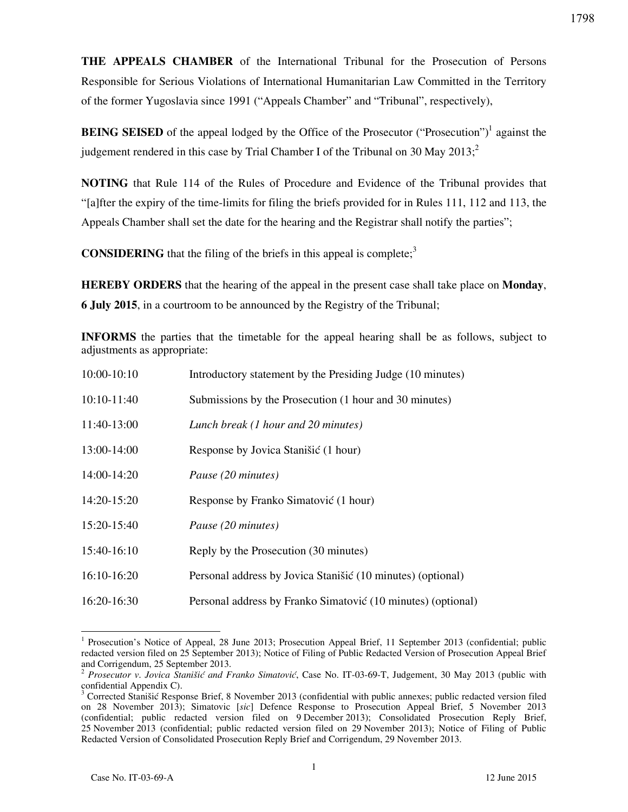**THE APPEALS CHAMBER** of the International Tribunal for the Prosecution of Persons Responsible for Serious Violations of International Humanitarian Law Committed in the Territory of the former Yugoslavia since 1991 ("Appeals Chamber" and "Tribunal", respectively),

**BEING SEISED** of the appeal lodged by the Office of the Prosecutor ("Prosecution")<sup>1</sup> against the judgement rendered in this case by Trial Chamber I of the Tribunal on 30 May 2013:<sup>2</sup>

**NOTING** that Rule 114 of the Rules of Procedure and Evidence of the Tribunal provides that "₣ağfter the expiry of the time-limits for filing the briefs provided for in Rules 111, 112 and 113, the Appeals Chamber shall set the date for the hearing and the Registrar shall notify the parties";

**CONSIDERING** that the filing of the briefs in this appeal is complete;<sup>3</sup>

**HEREBY ORDERS** that the hearing of the appeal in the present case shall take place on **Monday**, **6 July 2015**, in a courtroom to be announced by the Registry of the Tribunal;

**INFORMS** the parties that the timetable for the appeal hearing shall be as follows, subject to adjustments as appropriate:

| $10:00-10:10$   | Introductory statement by the Presiding Judge (10 minutes)   |
|-----------------|--------------------------------------------------------------|
| 10:10-11:40     | Submissions by the Prosecution (1 hour and 30 minutes)       |
| 11:40-13:00     | Lunch break (1 hour and 20 minutes)                          |
| 13:00-14:00     | Response by Jovica Stanišić (1 hour)                         |
| 14:00-14:20     | Pause (20 minutes)                                           |
| $14:20 - 15:20$ | Response by Franko Simatović (1 hour)                        |
| 15:20-15:40     | Pause (20 minutes)                                           |
| 15:40-16:10     | Reply by the Prosecution (30 minutes)                        |
| $16:10-16:20$   | Personal address by Jovica Stanišić (10 minutes) (optional)  |
| $16:20-16:30$   | Personal address by Franko Simatović (10 minutes) (optional) |

<sup>&</sup>lt;sup>1</sup> Prosecution's Notice of Appeal, 28 June 2013; Prosecution Appeal Brief, 11 September 2013 (confidential; public redacted version filed on 25 September 2013); Notice of Filing of Public Redacted Version of Prosecution Appeal Brief and Corrigendum, 25 September 2013.

<sup>2</sup> *Prosecutor v*. *Jovica Stanišić and Franko Simatović*, Case No. IT-03-69-T, Judgement, 30 May 2013 (public with confidential Appendix C).

<sup>3</sup> Corrected Stanišić Response Brief, 8 November 2013 (confidential with public annexes; public redacted version filed on 28 November 2013); Simatovic [sic] Defence Response to Prosecution Appeal Brief, 5 November 2013 (confidential; public redacted version filed on 9 December 2013); Consolidated Prosecution Reply Brief, 25 November 2013 (confidential; public redacted version filed on 29 November 2013); Notice of Filing of Public Redacted Version of Consolidated Prosecution Reply Brief and Corrigendum, 29 November 2013.